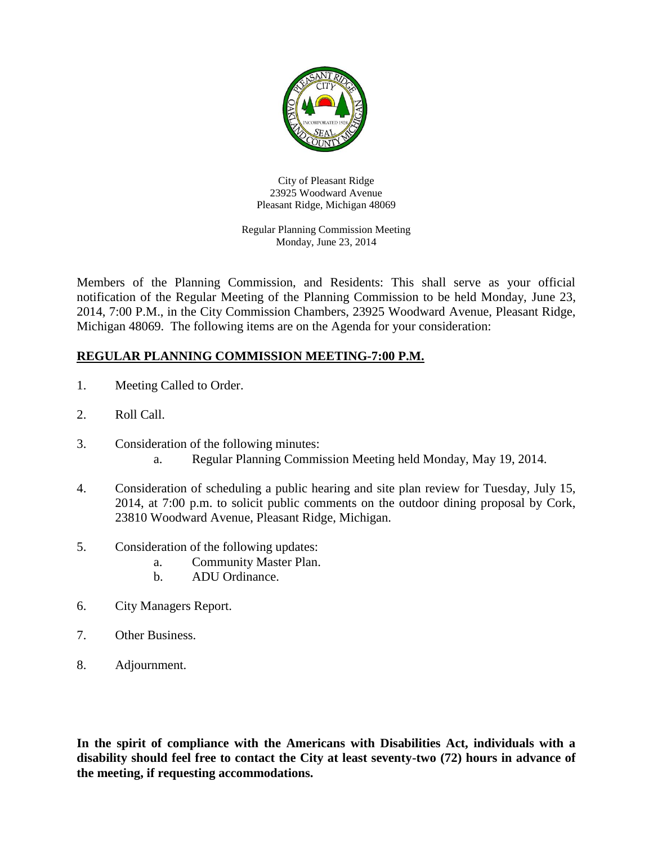

City of Pleasant Ridge 23925 Woodward Avenue Pleasant Ridge, Michigan 48069

Regular Planning Commission Meeting Monday, June 23, 2014

Members of the Planning Commission, and Residents: This shall serve as your official notification of the Regular Meeting of the Planning Commission to be held Monday, June 23, 2014, 7:00 P.M., in the City Commission Chambers, 23925 Woodward Avenue, Pleasant Ridge, Michigan 48069. The following items are on the Agenda for your consideration:

## **REGULAR PLANNING COMMISSION MEETING-7:00 P.M.**

- 1. Meeting Called to Order.
- 2. Roll Call.
- 3. Consideration of the following minutes: a. Regular Planning Commission Meeting held Monday, May 19, 2014.
- 4. Consideration of scheduling a public hearing and site plan review for Tuesday, July 15, 2014, at 7:00 p.m. to solicit public comments on the outdoor dining proposal by Cork, 23810 Woodward Avenue, Pleasant Ridge, Michigan.
- 5. Consideration of the following updates:
	- a. Community Master Plan.
	- b. ADU Ordinance.
- 6. City Managers Report.
- 7. Other Business.
- 8. Adjournment.

**In the spirit of compliance with the Americans with Disabilities Act, individuals with a disability should feel free to contact the City at least seventy-two (72) hours in advance of the meeting, if requesting accommodations.**